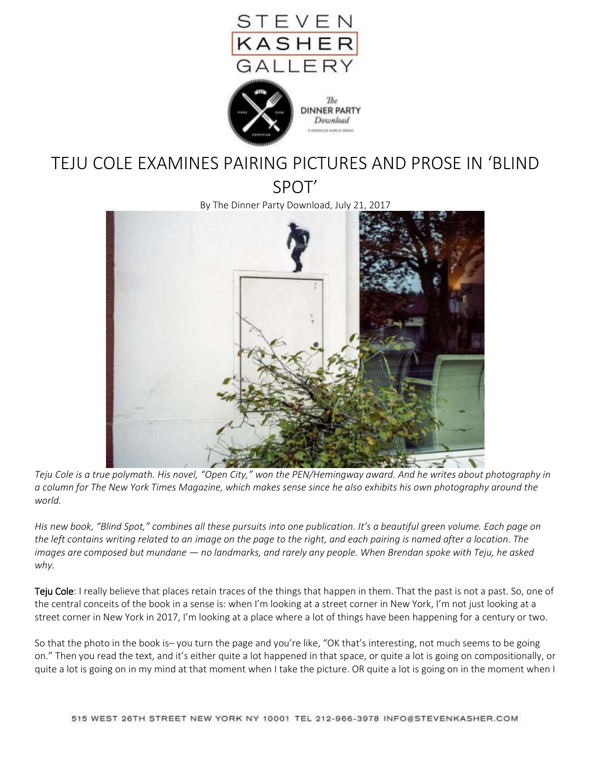

The



## TEJU COLE EXAMINES PAIRING PICTURES AND PROSE IN 'BLIND

SPOT'

By The Dinner Party Download, July 21, 2017



*Teju Cole is a true polymath. His novel, "Open City," won the PEN/Hemingway award. And he writes about photography in a column for The New York Times Magazine, which makes sense since he also exhibits his own photography around the world.*

*His new book, "Blind Spot," combines all these pursuits into one publication. It's a beautiful green volume. Each page on the left contains writing related to an image on the page to the right, and each pairing is named after a location. The images are composed but mundane — no landmarks, and rarely any people. When Brendan spoke with Teju, he asked why.*

Teju Cole: I really believe that places retain traces of the things that happen in them. That the past is not a past. So, one of the central conceits of the book in a sense is: when I'm looking at a street corner in New York, I'm not just looking at a street corner in New York in 2017, I'm looking at a place where a lot of things have been happening for a century or two.

So that the photo in the book is– you turn the page and you're like, "OK that's interesting, not much seems to be going on." Then you read the text, and it's either quite a lot happened in that space, or quite a lot is going on compositionally, or quite a lot is going on in my mind at that moment when I take the picture. OR quite a lot is going on in the moment when I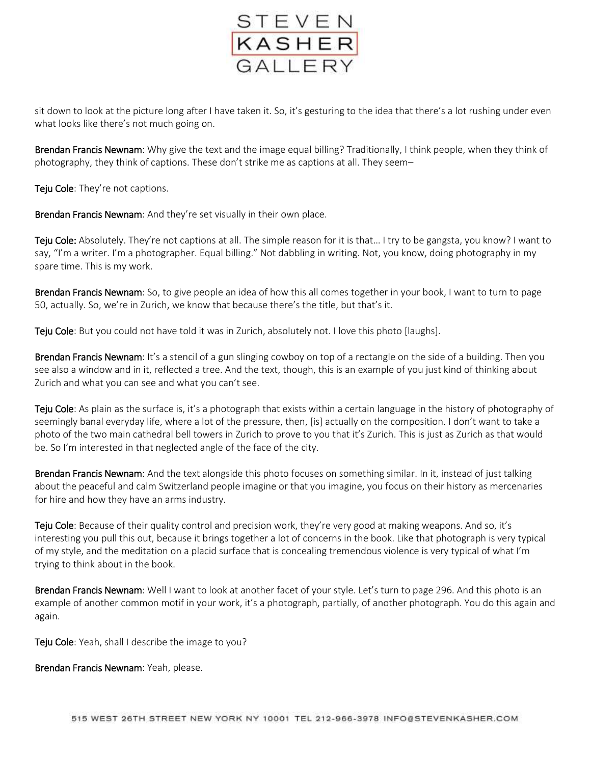

sit down to look at the picture long after I have taken it. So, it's gesturing to the idea that there's a lot rushing under even what looks like there's not much going on.

Brendan Francis Newnam: Why give the text and the image equal billing? Traditionally, I think people, when they think of photography, they think of captions. These don't strike me as captions at all. They seem–

Teju Cole: They're not captions.

Brendan Francis Newnam: And they're set visually in their own place.

Teju Cole: Absolutely. They're not captions at all. The simple reason for it is that... I try to be gangsta, you know? I want to say, "I'm a writer. I'm a photographer. Equal billing." Not dabbling in writing. Not, you know, doing photography in my spare time. This is my work.

Brendan Francis Newnam: So, to give people an idea of how this all comes together in your book, I want to turn to page 50, actually. So, we're in Zurich, we know that because there's the title, but that's it.

Teju Cole: But you could not have told it was in Zurich, absolutely not. I love this photo [laughs].

Brendan Francis Newnam: It's a stencil of a gun slinging cowboy on top of a rectangle on the side of a building. Then you see also a window and in it, reflected a tree. And the text, though, this is an example of you just kind of thinking about Zurich and what you can see and what you can't see.

Teju Cole: As plain as the surface is, it's a photograph that exists within a certain language in the history of photography of seemingly banal everyday life, where a lot of the pressure, then, [is] actually on the composition. I don't want to take a photo of the two main cathedral bell towers in Zurich to prove to you that it's Zurich. This is just as Zurich as that would be. So I'm interested in that neglected angle of the face of the city.

Brendan Francis Newnam: And the text alongside this photo focuses on something similar. In it, instead of just talking about the peaceful and calm Switzerland people imagine or that you imagine, you focus on their history as mercenaries for hire and how they have an arms industry.

Teju Cole: Because of their quality control and precision work, they're very good at making weapons. And so, it's interesting you pull this out, because it brings together a lot of concerns in the book. Like that photograph is very typical of my style, and the meditation on a placid surface that is concealing tremendous violence is very typical of what I'm trying to think about in the book.

Brendan Francis Newnam: Well I want to look at another facet of your style. Let's turn to page 296. And this photo is an example of another common motif in your work, it's a photograph, partially, of another photograph. You do this again and again.

Teju Cole: Yeah, shall I describe the image to you?

Brendan Francis Newnam: Yeah, please.